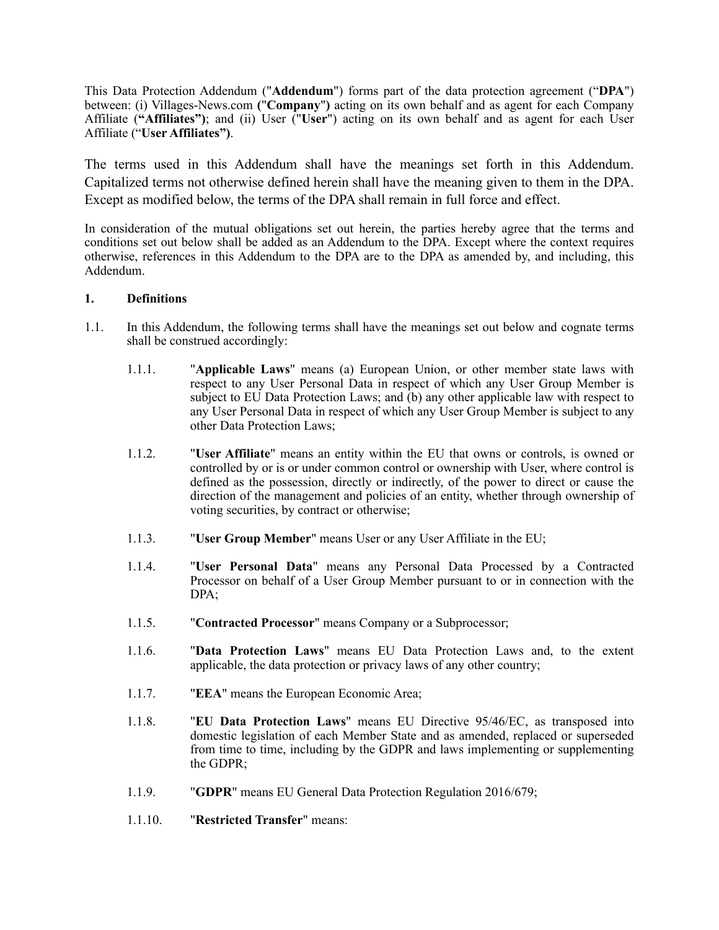This Data Protection Addendum ("**Addendum**") forms part of the data protection agreement ("**DPA**") between: (i) Villages-News.com **(**"**Company**"**)** acting on its own behalf and as agent for each Company Affiliate (**"Affiliates")**; and (ii) User ("**User**") acting on its own behalf and as agent for each User Affiliate ("**User Affiliates")**.

The terms used in this Addendum shall have the meanings set forth in this Addendum. Capitalized terms not otherwise defined herein shall have the meaning given to them in the DPA. Except as modified below, the terms of the DPA shall remain in full force and effect.

In consideration of the mutual obligations set out herein, the parties hereby agree that the terms and conditions set out below shall be added as an Addendum to the DPA. Except where the context requires otherwise, references in this Addendum to the DPA are to the DPA as amended by, and including, this Addendum.

## **1. Definitions**

- 1.1. In this Addendum, the following terms shall have the meanings set out below and cognate terms shall be construed accordingly:
	- 1.1.1. "**Applicable Laws**" means (a) European Union, or other member state laws with respect to any User Personal Data in respect of which any User Group Member is subject to EU Data Protection Laws; and (b) any other applicable law with respect to any User Personal Data in respect of which any User Group Member is subject to any other Data Protection Laws;
	- 1.1.2. "**User Affiliate**" means an entity within the EU that owns or controls, is owned or controlled by or is or under common control or ownership with User, where control is defined as the possession, directly or indirectly, of the power to direct or cause the direction of the management and policies of an entity, whether through ownership of voting securities, by contract or otherwise;
	- 1.1.3. "**User Group Member**" means User or any User Affiliate in the EU;
	- 1.1.4. "**User Personal Data**" means any Personal Data Processed by a Contracted Processor on behalf of a User Group Member pursuant to or in connection with the DPA;
	- 1.1.5. "**Contracted Processor**" means Company or a Subprocessor;
	- 1.1.6. "**Data Protection Laws**" means EU Data Protection Laws and, to the extent applicable, the data protection or privacy laws of any other country;
	- 1.1.7. "**EEA**" means the European Economic Area;
	- 1.1.8. "**EU Data Protection Laws**" means EU Directive 95/46/EC, as transposed into domestic legislation of each Member State and as amended, replaced or superseded from time to time, including by the GDPR and laws implementing or supplementing the GDPR;
	- 1.1.9. "**GDPR**" means EU General Data Protection Regulation 2016/679;
	- 1.1.10. "**Restricted Transfer**" means: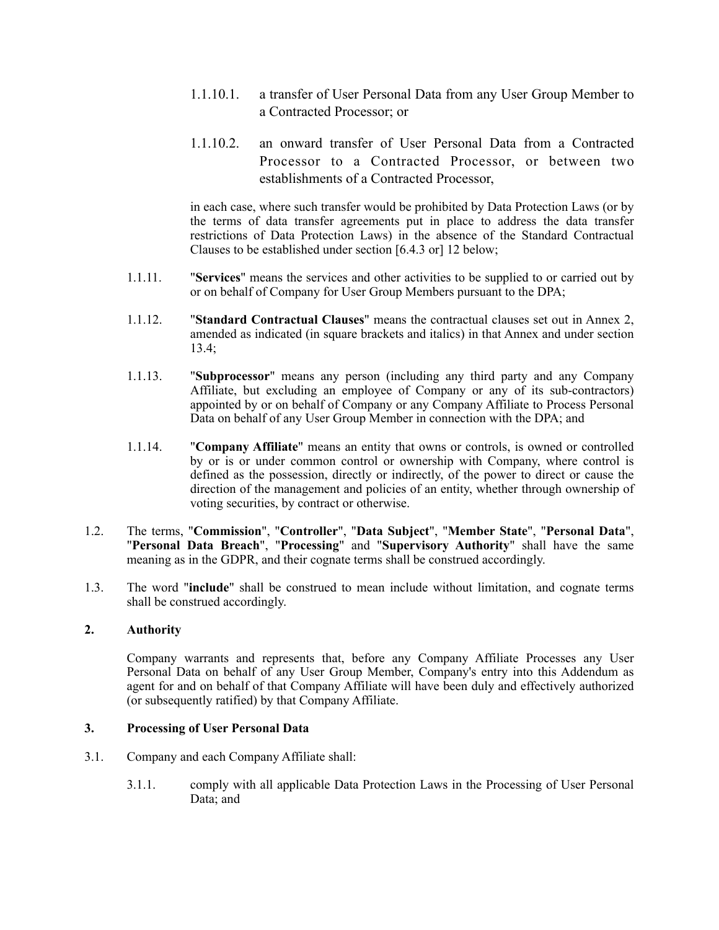- 1.1.10.1. a transfer of User Personal Data from any User Group Member to a Contracted Processor; or
- 1.1.10.2. an onward transfer of User Personal Data from a Contracted Processor to a Contracted Processor, or between two establishments of a Contracted Processor,

in each case, where such transfer would be prohibited by Data Protection Laws (or by the terms of data transfer agreements put in place to address the data transfer restrictions of Data Protection Laws) in the absence of the Standard Contractual Clauses to be established under section [\[6.4.3](#page-3-0) or] [12](#page-6-0) below;

- 1.1.11. "**Services**" means the services and other activities to be supplied to or carried out by or on behalf of Company for User Group Members pursuant to the DPA;
- 1.1.12. "**Standard Contractual Clauses**" means the contractual clauses set out in Annex 2, amended as indicated (in square brackets and italics) in that Annex and under section [13.4](#page-7-0);
- 1.1.13. "**Subprocessor**" means any person (including any third party and any Company Affiliate, but excluding an employee of Company or any of its sub-contractors) appointed by or on behalf of Company or any Company Affiliate to Process Personal Data on behalf of any User Group Member in connection with the DPA; and
- 1.1.14. "**Company Affiliate**" means an entity that owns or controls, is owned or controlled by or is or under common control or ownership with Company, where control is defined as the possession, directly or indirectly, of the power to direct or cause the direction of the management and policies of an entity, whether through ownership of voting securities, by contract or otherwise.
- 1.2. The terms, "**Commission**", "**Controller**", "**Data Subject**", "**Member State**", "**Personal Data**", "**Personal Data Breach**", "**Processing**" and "**Supervisory Authority**" shall have the same meaning as in the GDPR, and their cognate terms shall be construed accordingly.
- 1.3. The word "**include**" shall be construed to mean include without limitation, and cognate terms shall be construed accordingly.

## **2. Authority**

Company warrants and represents that, before any Company Affiliate Processes any User Personal Data on behalf of any User Group Member, Company's entry into this Addendum as agent for and on behalf of that Company Affiliate will have been duly and effectively authorized (or subsequently ratified) by that Company Affiliate.

#### **3. Processing of User Personal Data**

- <span id="page-1-0"></span>3.1. Company and each Company Affiliate shall:
	- 3.1.1. comply with all applicable Data Protection Laws in the Processing of User Personal Data; and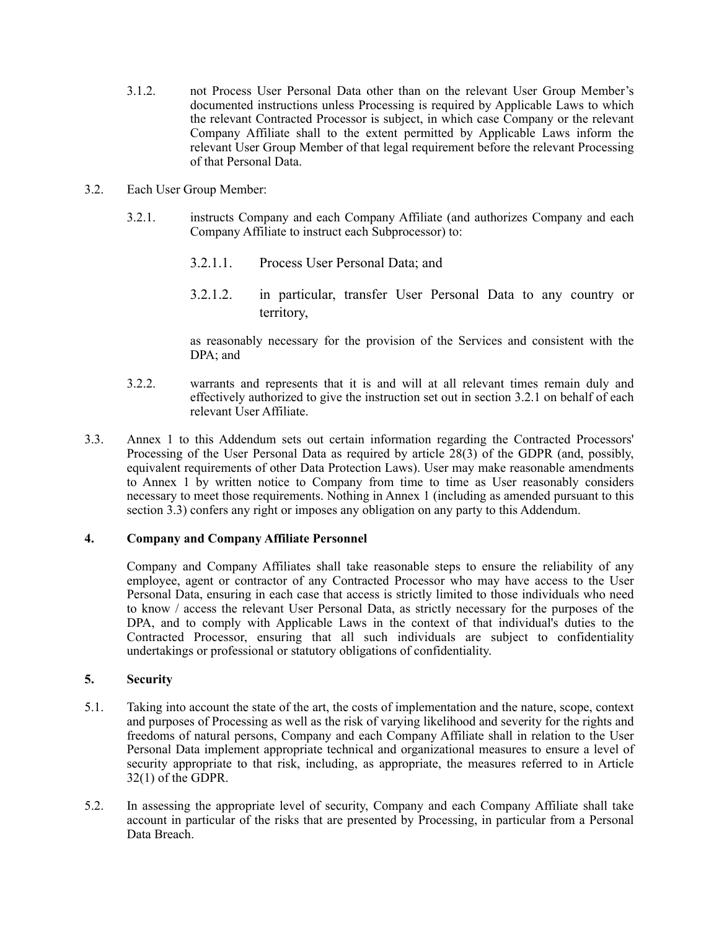- 3.1.2. not Process User Personal Data other than on the relevant User Group Member's documented instructions unless Processing is required by Applicable Laws to which the relevant Contracted Processor is subject, in which case Company or the relevant Company Affiliate shall to the extent permitted by Applicable Laws inform the relevant User Group Member of that legal requirement before the relevant Processing of that Personal Data.
- <span id="page-2-0"></span>3.2. Each User Group Member:
	- 3.2.1. instructs Company and each Company Affiliate (and authorizes Company and each Company Affiliate to instruct each Subprocessor) to:
		- 3.2.1.1. Process User Personal Data; and
		- 3.2.1.2. in particular, transfer User Personal Data to any country or territory,

as reasonably necessary for the provision of the Services and consistent with the DPA; and

- 3.2.2. warrants and represents that it is and will at all relevant times remain duly and effectively authorized to give the instruction set out in section [3.2.1](#page-2-0) on behalf of each relevant User Affiliate.
- <span id="page-2-1"></span>3.3. Annex 1 to this Addendum sets out certain information regarding the Contracted Processors' Processing of the User Personal Data as required by article 28(3) of the GDPR (and, possibly, equivalent requirements of other Data Protection Laws). User may make reasonable amendments to Annex 1 by written notice to Company from time to time as User reasonably considers necessary to meet those requirements. Nothing in Annex 1 (including as amended pursuant to this section [3.3\)](#page-2-1) confers any right or imposes any obligation on any party to this Addendum.

## **4. Company and Company Affiliate Personnel**

<span id="page-2-2"></span>Company and Company Affiliates shall take reasonable steps to ensure the reliability of any employee, agent or contractor of any Contracted Processor who may have access to the User Personal Data, ensuring in each case that access is strictly limited to those individuals who need to know / access the relevant User Personal Data, as strictly necessary for the purposes of the DPA, and to comply with Applicable Laws in the context of that individual's duties to the Contracted Processor, ensuring that all such individuals are subject to confidentiality undertakings or professional or statutory obligations of confidentiality.

## <span id="page-2-3"></span>**5. Security**

- 5.1. Taking into account the state of the art, the costs of implementation and the nature, scope, context and purposes of Processing as well as the risk of varying likelihood and severity for the rights and freedoms of natural persons, Company and each Company Affiliate shall in relation to the User Personal Data implement appropriate technical and organizational measures to ensure a level of security appropriate to that risk, including, as appropriate, the measures referred to in Article 32(1) of the GDPR.
- 5.2. In assessing the appropriate level of security, Company and each Company Affiliate shall take account in particular of the risks that are presented by Processing, in particular from a Personal Data Breach.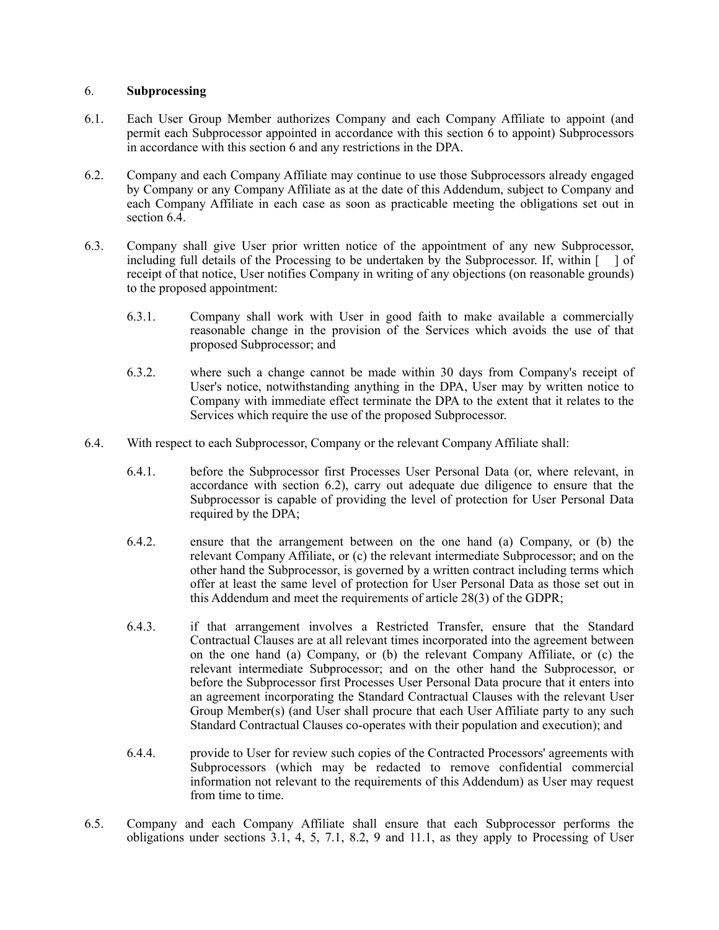#### <span id="page-3-1"></span>6. **Subprocessing**

- 6.1. Each User Group Member authorizes Company and each Company Affiliate to appoint (and permit each Subprocessor appointed in accordance with this section [6](#page-3-1) to appoint) Subprocessors in accordance with this section [6](#page-3-1) and any restrictions in the DPA.
- <span id="page-3-3"></span>6.2. Company and each Company Affiliate may continue to use those Subprocessors already engaged by Company or any Company Affiliate as at the date of this Addendum, subject to Company and each Company Affiliate in each case as soon as practicable meeting the obligations set out in section 6.4
- 6.3. Company shall give User prior written notice of the appointment of any new Subprocessor, including full details of the Processing to be undertaken by the Subprocessor. If, within  $\lceil \cdot \rceil$  of receipt of that notice, User notifies Company in writing of any objections (on reasonable grounds) to the proposed appointment:
	- 6.3.1. Company shall work with User in good faith to make available a commercially reasonable change in the provision of the Services which avoids the use of that proposed Subprocessor; and
	- 6.3.2. where such a change cannot be made within 30 days from Company's receipt of User's notice, notwithstanding anything in the DPA, User may by written notice to Company with immediate effect terminate the DPA to the extent that it relates to the Services which require the use of the proposed Subprocessor.
- <span id="page-3-2"></span><span id="page-3-0"></span>6.4. With respect to each Subprocessor, Company or the relevant Company Affiliate shall:
	- 6.4.1. before the Subprocessor first Processes User Personal Data (or, where relevant, in accordance with section [6.2\)](#page-3-3), carry out adequate due diligence to ensure that the Subprocessor is capable of providing the level of protection for User Personal Data required by the DPA;
	- 6.4.2. ensure that the arrangement between on the one hand (a) Company, or (b) the relevant Company Affiliate, or (c) the relevant intermediate Subprocessor; and on the other hand the Subprocessor, is governed by a written contract including terms which offer at least the same level of protection for User Personal Data as those set out in this Addendum and meet the requirements of article 28(3) of the GDPR;
	- 6.4.3. if that arrangement involves a Restricted Transfer, ensure that the Standard Contractual Clauses are at all relevant times incorporated into the agreement between on the one hand (a) Company, or (b) the relevant Company Affiliate, or (c) the relevant intermediate Subprocessor; and on the other hand the Subprocessor, or before the Subprocessor first Processes User Personal Data procure that it enters into an agreement incorporating the Standard Contractual Clauses with the relevant User Group Member(s) (and User shall procure that each User Affiliate party to any such Standard Contractual Clauses co-operates with their population and execution); and
	- 6.4.4. provide to User for review such copies of the Contracted Processors' agreements with Subprocessors (which may be redacted to remove confidential commercial information not relevant to the requirements of this Addendum) as User may request from time to time.
- 6.5. Company and each Company Affiliate shall ensure that each Subprocessor performs the obligations under sections [3.1](#page-1-0), [4](#page-2-2), [5,](#page-2-3) [7.1,](#page-4-0) [8.2,](#page-4-1) [9](#page-4-2) and [11.1,](#page-5-0) as they apply to Processing of User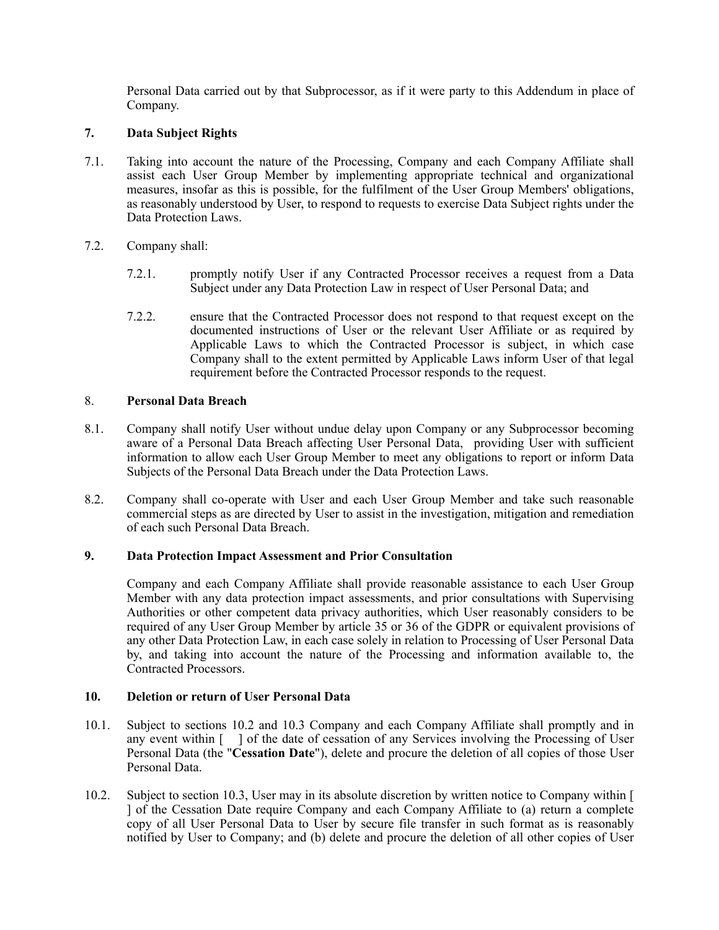Personal Data carried out by that Subprocessor, as if it were party to this Addendum in place of Company.

# **7. Data Subject Rights**

- <span id="page-4-0"></span>7.1. Taking into account the nature of the Processing, Company and each Company Affiliate shall assist each User Group Member by implementing appropriate technical and organizational measures, insofar as this is possible, for the fulfilment of the User Group Members' obligations, as reasonably understood by User, to respond to requests to exercise Data Subject rights under the Data Protection Laws.
- 7.2. Company shall:
	- 7.2.1. promptly notify User if any Contracted Processor receives a request from a Data Subject under any Data Protection Law in respect of User Personal Data; and
	- 7.2.2. ensure that the Contracted Processor does not respond to that request except on the documented instructions of User or the relevant User Affiliate or as required by Applicable Laws to which the Contracted Processor is subject, in which case Company shall to the extent permitted by Applicable Laws inform User of that legal requirement before the Contracted Processor responds to the request.

# 8. **Personal Data Breach**

- 8.1. Company shall notify User without undue delay upon Company or any Subprocessor becoming aware of a Personal Data Breach affecting User Personal Data, providing User with sufficient information to allow each User Group Member to meet any obligations to report or inform Data Subjects of the Personal Data Breach under the Data Protection Laws.
- <span id="page-4-1"></span>8.2. Company shall co-operate with User and each User Group Member and take such reasonable commercial steps as are directed by User to assist in the investigation, mitigation and remediation of each such Personal Data Breach.

## **9. Data Protection Impact Assessment and Prior Consultation**

<span id="page-4-2"></span>Company and each Company Affiliate shall provide reasonable assistance to each User Group Member with any data protection impact assessments, and prior consultations with Supervising Authorities or other competent data privacy authorities, which User reasonably considers to be required of any User Group Member by article 35 or 36 of the GDPR or equivalent provisions of any other Data Protection Law, in each case solely in relation to Processing of User Personal Data by, and taking into account the nature of the Processing and information available to, the Contracted Processors.

## <span id="page-4-3"></span>**10. Deletion or return of User Personal Data**

- 10.1. Subject to sections [10.2](#page-5-1) and [10.3](#page-5-2) Company and each Company Affiliate shall promptly and in any event within [ ] of the date of cessation of any Services involving the Processing of User Personal Data (the "**Cessation Date**"), delete and procure the deletion of all copies of those User Personal Data.
- 10.2. Subject to section [10.3,](#page-5-2) User may in its absolute discretion by written notice to Company within [ ] of the Cessation Date require Company and each Company Affiliate to (a) return a complete copy of all User Personal Data to User by secure file transfer in such format as is reasonably notified by User to Company; and (b) delete and procure the deletion of all other copies of User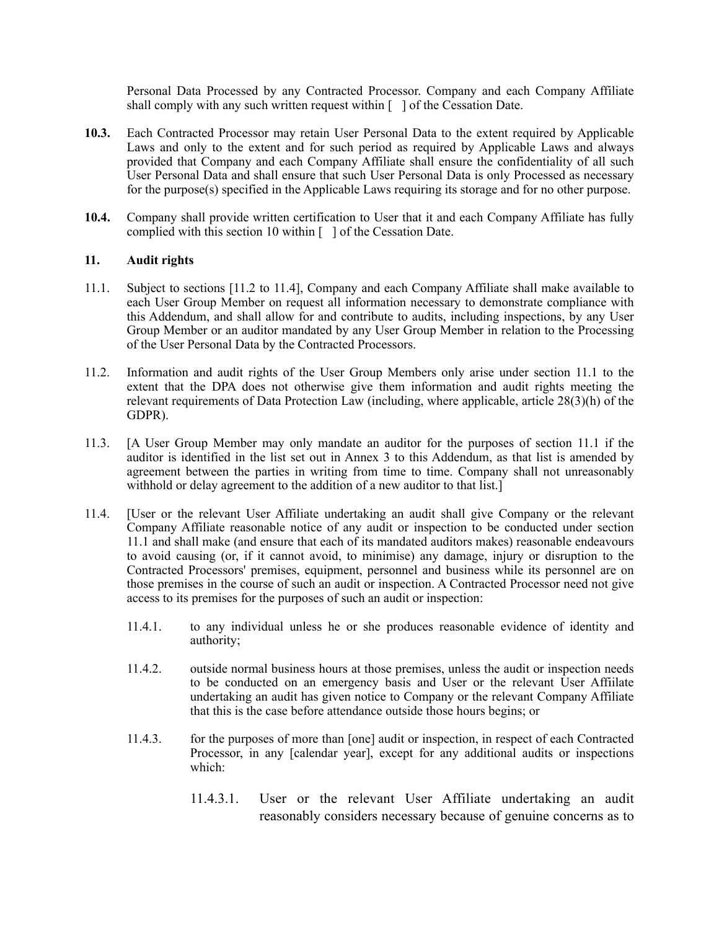Personal Data Processed by any Contracted Processor. Company and each Company Affiliate shall comply with any such written request within  $\lceil \cdot \rceil$  of the Cessation Date.

- <span id="page-5-2"></span>**10.3.** Each Contracted Processor may retain User Personal Data to the extent required by Applicable Laws and only to the extent and for such period as required by Applicable Laws and always provided that Company and each Company Affiliate shall ensure the confidentiality of all such User Personal Data and shall ensure that such User Personal Data is only Processed as necessary for the purpose(s) specified in the Applicable Laws requiring its storage and for no other purpose.
- **10.4.** Company shall provide written certification to User that it and each Company Affiliate has fully complied with this section [10](#page-4-3) within  $\lceil \ \rceil$  of the Cessation Date.

#### **11. Audit rights**

- <span id="page-5-0"></span>11.1. Subject to sections [[11.2](#page-5-3) to [11.4\]](#page-5-4), Company and each Company Affiliate shall make available to each User Group Member on request all information necessary to demonstrate compliance with this Addendum, and shall allow for and contribute to audits, including inspections, by any User Group Member or an auditor mandated by any User Group Member in relation to the Processing of the User Personal Data by the Contracted Processors.
- <span id="page-5-4"></span>11.2. Information and audit rights of the User Group Members only arise under section [11.1](#page-5-0) to the extent that the DPA does not otherwise give them information and audit rights meeting the relevant requirements of Data Protection Law (including, where applicable, article 28(3)(h) of the GDPR).
- <span id="page-5-3"></span>11.3. [A User Group Member may only mandate an auditor for the purposes of section [11.1](#page-5-0) if the auditor is identified in the list set out in Annex 3 to this Addendum, as that list is amended by agreement between the parties in writing from time to time. Company shall not unreasonably withhold or delay agreement to the addition of a new auditor to that list.
- <span id="page-5-1"></span>11.4. [User or the relevant User Affiliate undertaking an audit shall give Company or the relevant Company Affiliate reasonable notice of any audit or inspection to be conducted under section [11.1](#page-5-0) and shall make (and ensure that each of its mandated auditors makes) reasonable endeavours to avoid causing (or, if it cannot avoid, to minimise) any damage, injury or disruption to the Contracted Processors' premises, equipment, personnel and business while its personnel are on those premises in the course of such an audit or inspection. A Contracted Processor need not give access to its premises for the purposes of such an audit or inspection:
	- 11.4.1. to any individual unless he or she produces reasonable evidence of identity and authority;
	- 11.4.2. outside normal business hours at those premises, unless the audit or inspection needs to be conducted on an emergency basis and User or the relevant User Affiilate undertaking an audit has given notice to Company or the relevant Company Affiliate that this is the case before attendance outside those hours begins; or
	- 11.4.3. for the purposes of more than [one] audit or inspection, in respect of each Contracted Processor, in any [calendar year], except for any additional audits or inspections which:
		- 11.4.3.1. User or the relevant User Affiliate undertaking an audit reasonably considers necessary because of genuine concerns as to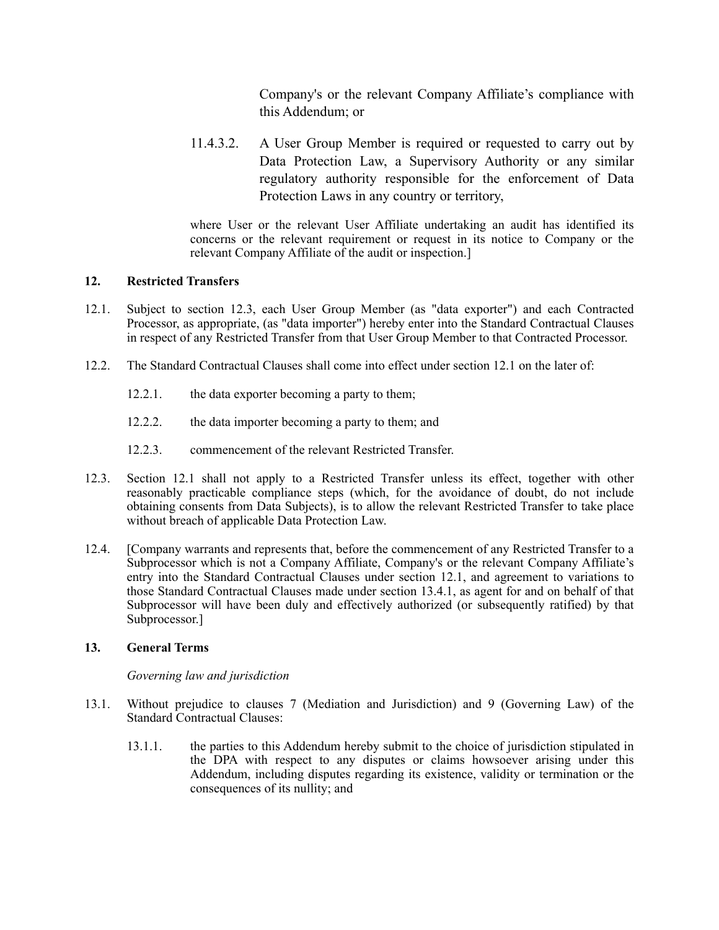Company's or the relevant Company Affiliate's compliance with this Addendum; or

11.4.3.2. A User Group Member is required or requested to carry out by Data Protection Law, a Supervisory Authority or any similar regulatory authority responsible for the enforcement of Data Protection Laws in any country or territory,

where User or the relevant User Affiliate undertaking an audit has identified its concerns or the relevant requirement or request in its notice to Company or the relevant Company Affiliate of the audit or inspection.]

# <span id="page-6-0"></span>**12. Restricted Transfers**

- <span id="page-6-2"></span>12.1. Subject to section [12.3](#page-6-1), each User Group Member (as "data exporter") and each Contracted Processor, as appropriate, (as "data importer") hereby enter into the Standard Contractual Clauses in respect of any Restricted Transfer from that User Group Member to that Contracted Processor.
- 12.2. The Standard Contractual Clauses shall come into effect under section [12.1](#page-6-2) on the later of:
	- 12.2.1. the data exporter becoming a party to them;
	- 12.2.2. the data importer becoming a party to them; and
	- 12.2.3. commencement of the relevant Restricted Transfer.
- <span id="page-6-1"></span>12.3. Section [12.1](#page-6-2) shall not apply to a Restricted Transfer unless its effect, together with other reasonably practicable compliance steps (which, for the avoidance of doubt, do not include obtaining consents from Data Subjects), is to allow the relevant Restricted Transfer to take place without breach of applicable Data Protection Law.
- 12.4. [Company warrants and represents that, before the commencement of any Restricted Transfer to a Subprocessor which is not a Company Affiliate, Company's or the relevant Company Affiliate's entry into the Standard Contractual Clauses under section [12.1](#page-6-2), and agreement to variations to those Standard Contractual Clauses made under section [13.4.1,](#page-7-1) as agent for and on behalf of that Subprocessor will have been duly and effectively authorized (or subsequently ratified) by that Subprocessor.]

## **13. General Terms**

## *Governing law and jurisdiction*

- 13.1. Without prejudice to clauses 7 (Mediation and Jurisdiction) and 9 (Governing Law) of the Standard Contractual Clauses:
	- 13.1.1. the parties to this Addendum hereby submit to the choice of jurisdiction stipulated in the DPA with respect to any disputes or claims howsoever arising under this Addendum, including disputes regarding its existence, validity or termination or the consequences of its nullity; and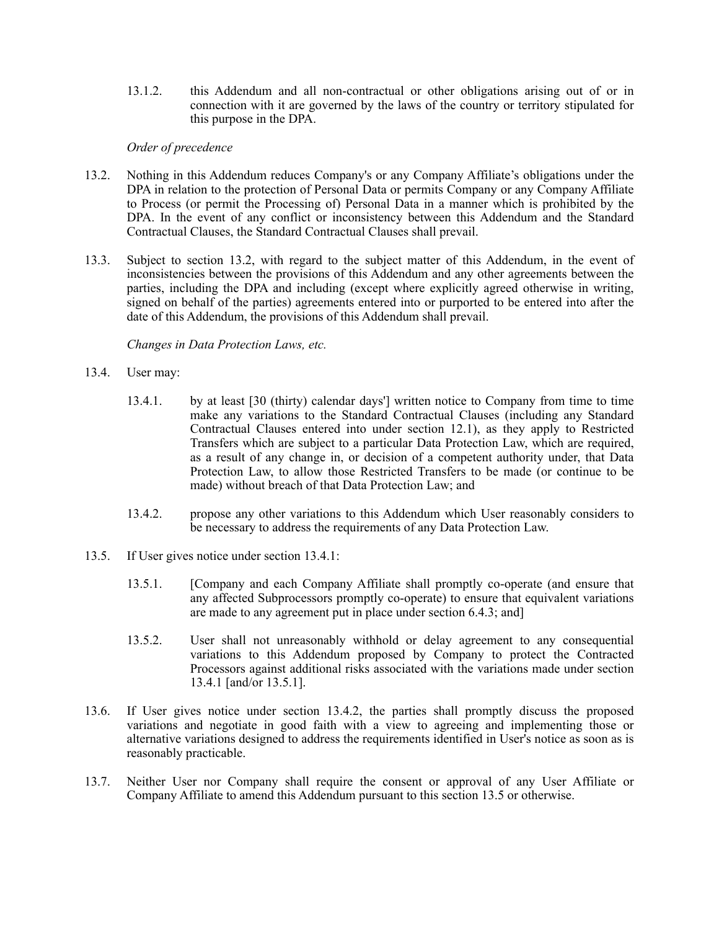13.1.2. this Addendum and all non-contractual or other obligations arising out of or in connection with it are governed by the laws of the country or territory stipulated for this purpose in the DPA.

#### <span id="page-7-2"></span>*Order of precedence*

- 13.2. Nothing in this Addendum reduces Company's or any Company Affiliate's obligations under the DPA in relation to the protection of Personal Data or permits Company or any Company Affiliate to Process (or permit the Processing of) Personal Data in a manner which is prohibited by the DPA. In the event of any conflict or inconsistency between this Addendum and the Standard Contractual Clauses, the Standard Contractual Clauses shall prevail.
- 13.3. Subject to section [13.2](#page-7-2), with regard to the subject matter of this Addendum, in the event of inconsistencies between the provisions of this Addendum and any other agreements between the parties, including the DPA and including (except where explicitly agreed otherwise in writing, signed on behalf of the parties) agreements entered into or purported to be entered into after the date of this Addendum, the provisions of this Addendum shall prevail.

#### <span id="page-7-1"></span><span id="page-7-0"></span>*Changes in Data Protection Laws, etc.*

- 13.4. User may:
	- 13.4.1. by at least [30 (thirty) calendar days'] written notice to Company from time to time make any variations to the Standard Contractual Clauses (including any Standard Contractual Clauses entered into under section [12.1\)](#page-6-2), as they apply to Restricted Transfers which are subject to a particular Data Protection Law, which are required, as a result of any change in, or decision of a competent authority under, that Data Protection Law, to allow those Restricted Transfers to be made (or continue to be made) without breach of that Data Protection Law; and
	- 13.4.2. propose any other variations to this Addendum which User reasonably considers to be necessary to address the requirements of any Data Protection Law.
- <span id="page-7-4"></span><span id="page-7-3"></span>13.5. If User gives notice under section [13.4.1](#page-7-1):
	- 13.5.1. [Company and each Company Affiliate shall promptly co-operate (and ensure that any affected Subprocessors promptly co-operate) to ensure that equivalent variations are made to any agreement put in place under section [6.4.3;](#page-3-0) and]
	- 13.5.2. User shall not unreasonably withhold or delay agreement to any consequential variations to this Addendum proposed by Company to protect the Contracted Processors against additional risks associated with the variations made under section [13.4.1](#page-7-1) [and/or [13.5.1](#page-7-3)].
- 13.6. If User gives notice under section [13.4.2,](#page-7-4) the parties shall promptly discuss the proposed variations and negotiate in good faith with a view to agreeing and implementing those or alternative variations designed to address the requirements identified in User's notice as soon as is reasonably practicable.
- 13.7. Neither User nor Company shall require the consent or approval of any User Affiliate or Company Affiliate to amend this Addendum pursuant to this section 13.5 or otherwise.